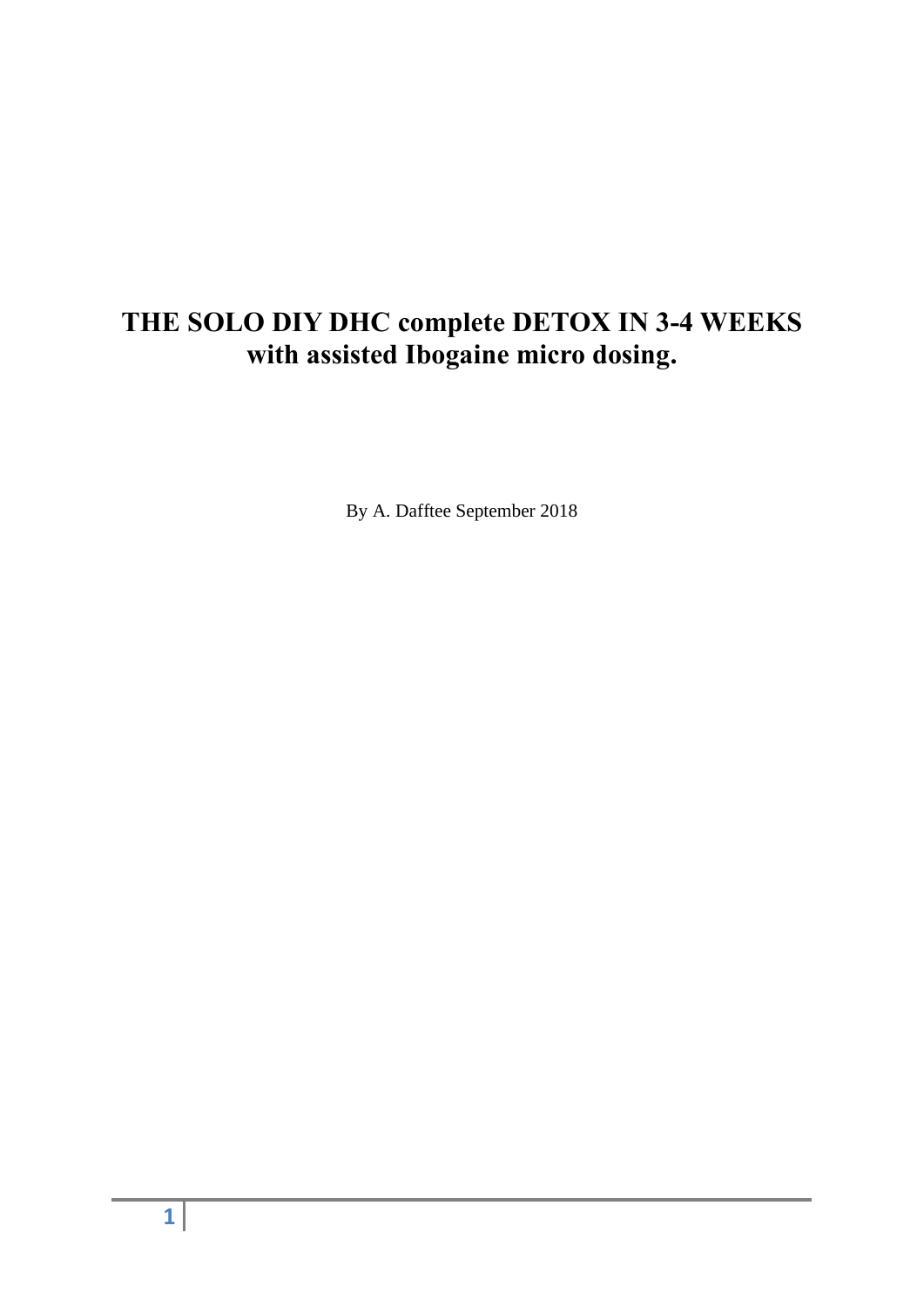## **THE SOLO DIY DHC complete DETOX IN 3-4 WEEKS with assisted Ibogaine micro dosing.**

By A. Dafftee September 2018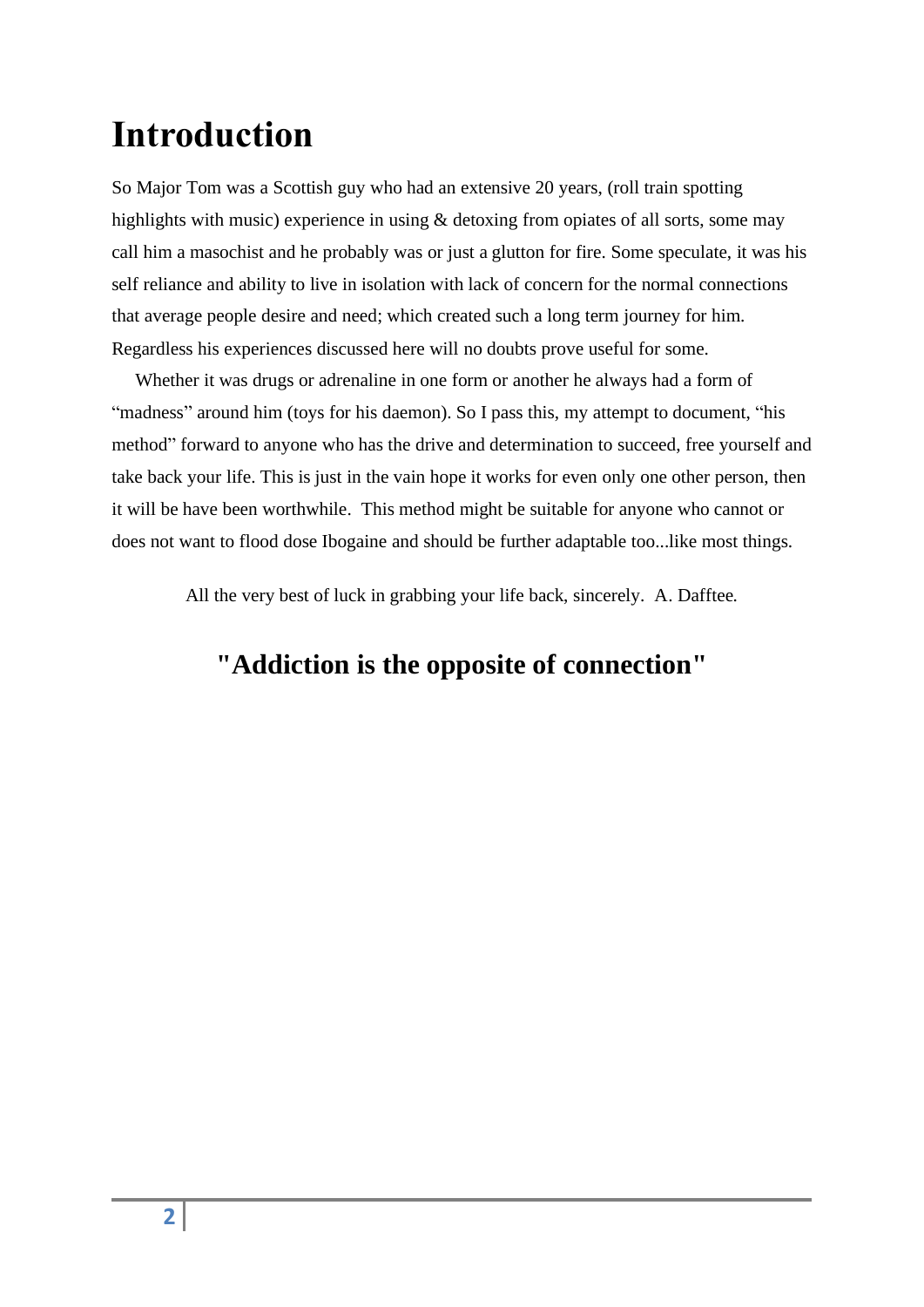## **Introduction**

So Major Tom was a Scottish guy who had an extensive 20 years, (roll train spotting highlights with music) experience in using & detoxing from opiates of all sorts, some may call him a masochist and he probably was or just a glutton for fire. Some speculate, it was his self reliance and ability to live in isolation with lack of concern for the normal connections that average people desire and need; which created such a long term journey for him. Regardless his experiences discussed here will no doubts prove useful for some.

 Whether it was drugs or adrenaline in one form or another he always had a form of "madness" around him (toys for his daemon). So I pass this, my attempt to document, "his method" forward to anyone who has the drive and determination to succeed, free yourself and take back your life. This is just in the vain hope it works for even only one other person, then it will be have been worthwhile. This method might be suitable for anyone who cannot or does not want to flood dose Ibogaine and should be further adaptable too...like most things.

All the very best of luck in grabbing your life back, sincerely. A. Dafftee.

## **"Addiction is the opposite of connection"**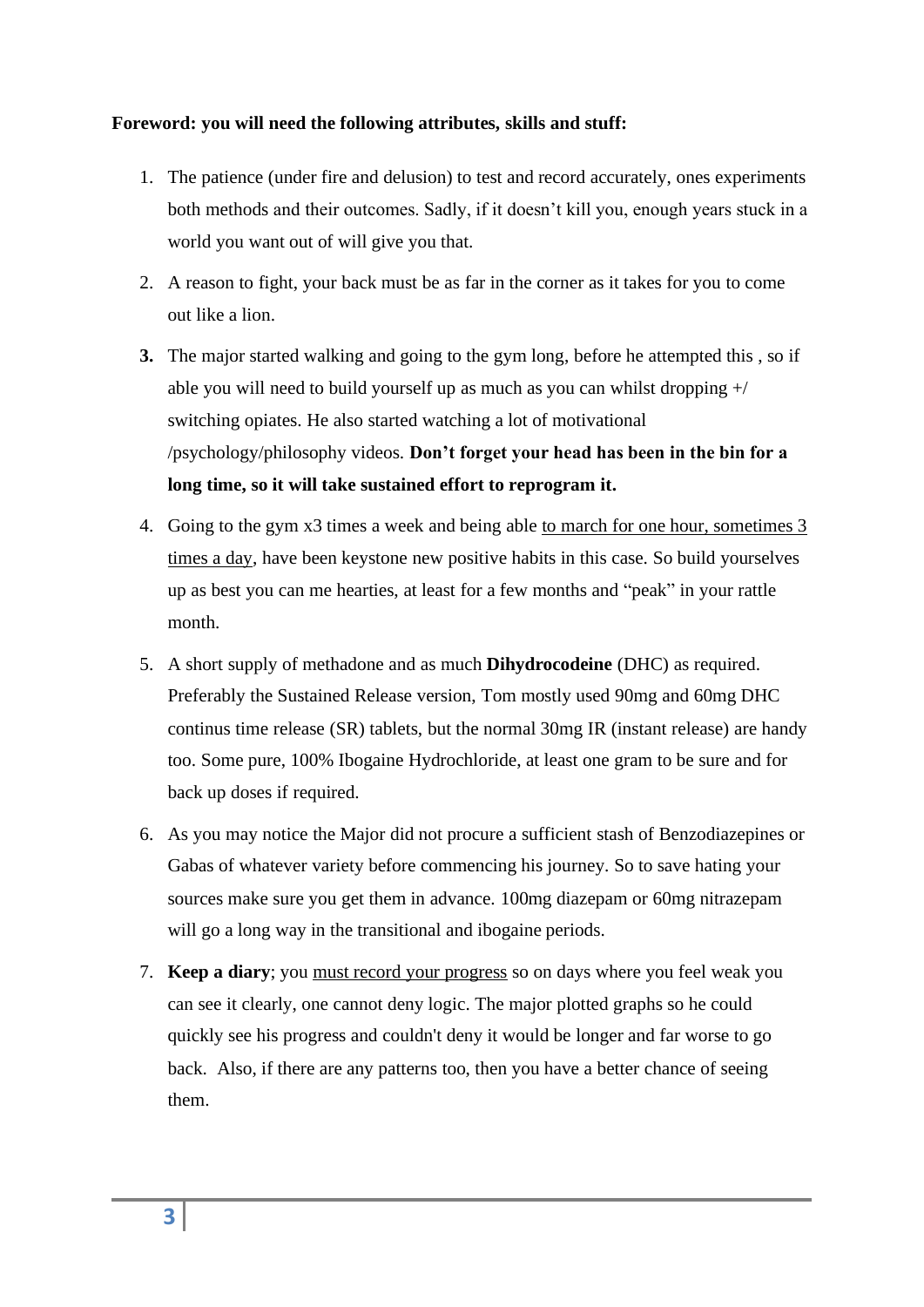#### **Foreword: you will need the following attributes, skills and stuff:**

- 1. The patience (under fire and delusion) to test and record accurately, ones experiments both methods and their outcomes. Sadly, if it doesn't kill you, enough years stuck in a world you want out of will give you that.
- 2. A reason to fight, your back must be as far in the corner as it takes for you to come out like a lion.
- **3.** The major started walking and going to the gym long, before he attempted this , so if able you will need to build yourself up as much as you can whilst dropping +/ switching opiates. He also started watching a lot of motivational /psychology/philosophy videos. **Don't forget your head has been in the bin for a long time, so it will take sustained effort to reprogram it.**
- 4. Going to the gym x3 times a week and being able to march for one hour, sometimes 3 times a day, have been keystone new positive habits in this case. So build yourselves up as best you can me hearties, at least for a few months and "peak" in your rattle month.
- 5. A short supply of methadone and as much **Dihydrocodeine** (DHC) as required. Preferably the Sustained Release version, Tom mostly used 90mg and 60mg DHC continus time release (SR) tablets, but the normal 30mg IR (instant release) are handy too. Some pure, 100% Ibogaine Hydrochloride, at least one gram to be sure and for back up doses if required.
- 6. As you may notice the Major did not procure a sufficient stash of Benzodiazepines or Gabas of whatever variety before commencing his journey. So to save hating your sources make sure you get them in advance. 100mg diazepam or 60mg nitrazepam will go a long way in the transitional and ibogaine periods.
- 7. **Keep a diary**; you must record your progress so on days where you feel weak you can see it clearly, one cannot deny logic. The major plotted graphs so he could quickly see his progress and couldn't deny it would be longer and far worse to go back. Also, if there are any patterns too, then you have a better chance of seeing them.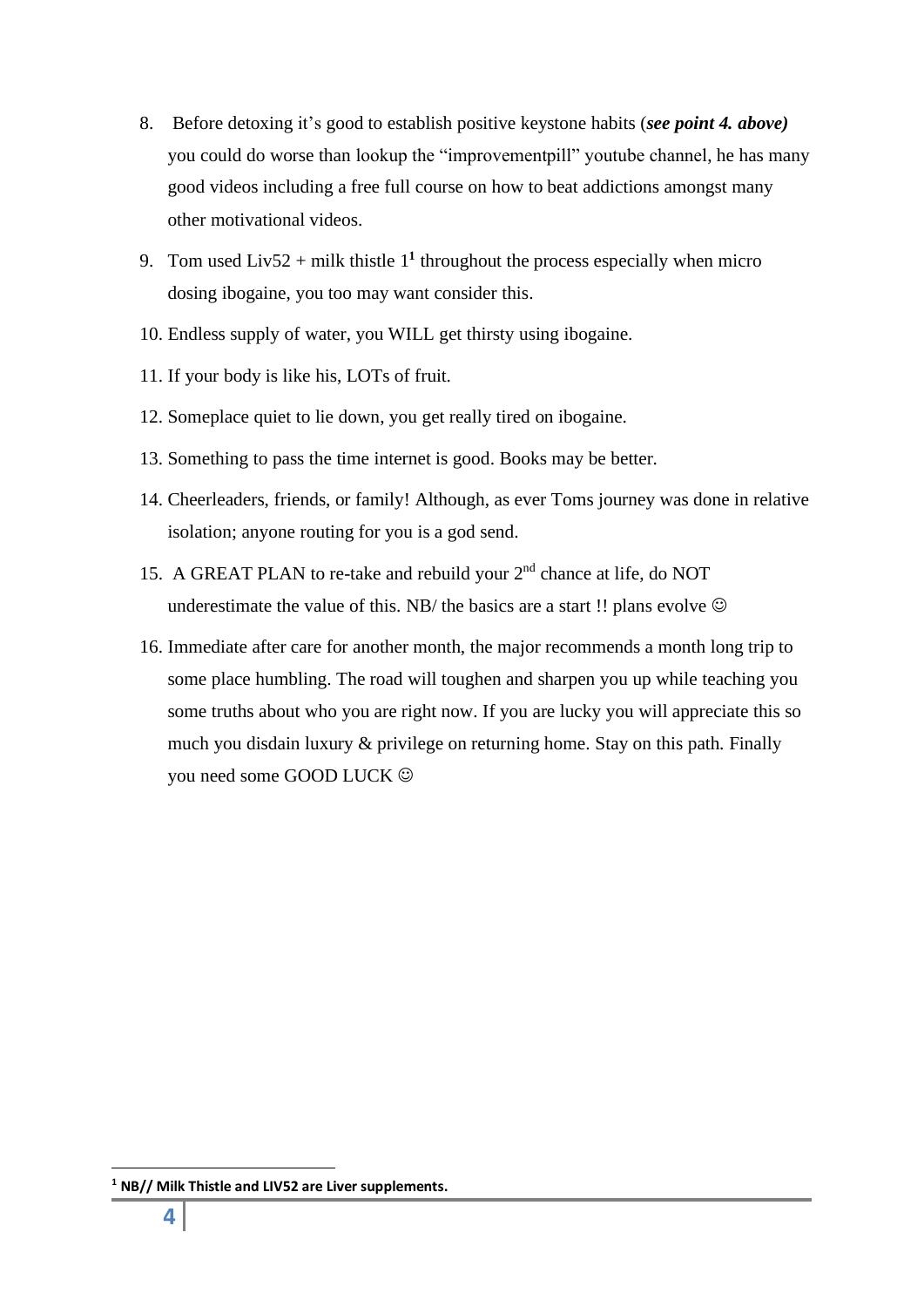- 8. Before detoxing it's good to establish positive keystone habits (*see point 4. above)* you could do worse than lookup the "improvementpill" youtube channel, he has many good videos including a free full course on how to beat addictions amongst many other motivational videos.
- 9. Tom used Liv52 + milk thistle  $1<sup>1</sup>$  throughout the process especially when micro dosing ibogaine, you too may want consider this.
- 10. Endless supply of water, you WILL get thirsty using ibogaine.
- 11. If your body is like his, LOTs of fruit.
- 12. Someplace quiet to lie down, you get really tired on ibogaine.
- 13. Something to pass the time internet is good. Books may be better.
- 14. Cheerleaders, friends, or family! Although, as ever Toms journey was done in relative isolation; anyone routing for you is a god send.
- 15. A GREAT PLAN to re-take and rebuild your 2<sup>nd</sup> chance at life, do NOT underestimate the value of this. NB/ the basics are a start !! plans evolve  $\odot$
- 16. Immediate after care for another month, the major recommends a month long trip to some place humbling. The road will toughen and sharpen you up while teaching you some truths about who you are right now. If you are lucky you will appreciate this so much you disdain luxury & privilege on returning home. Stay on this path. Finally you need some GOOD LUCK ☺

**<sup>1</sup> NB// Milk Thistle and LIV52 are Liver supplements.**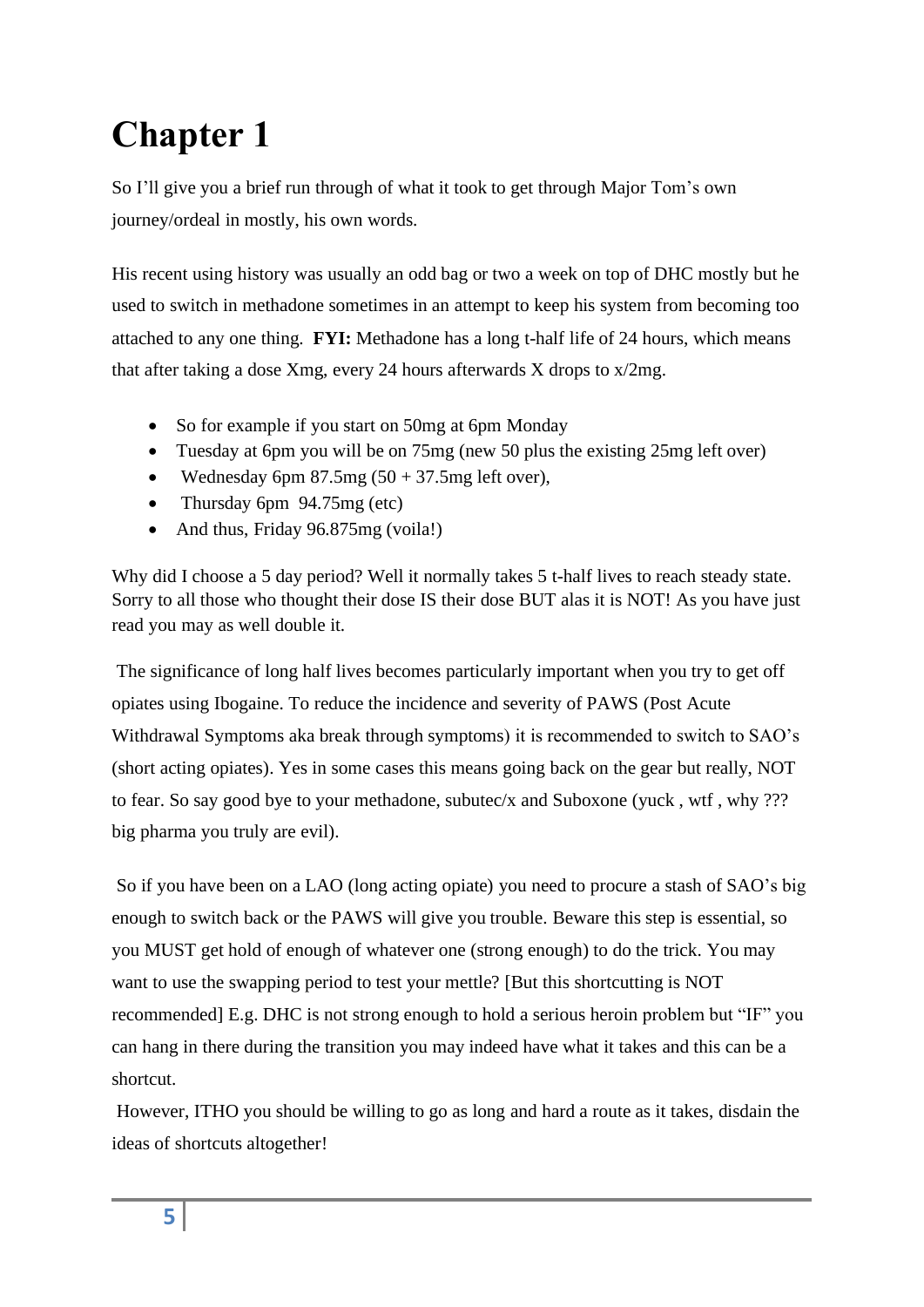# **Chapter 1**

So I'll give you a brief run through of what it took to get through Major Tom's own journey/ordeal in mostly, his own words.

His recent using history was usually an odd bag or two a week on top of DHC mostly but he used to switch in methadone sometimes in an attempt to keep his system from becoming too attached to any one thing. **FYI:** Methadone has a long t-half life of 24 hours, which means that after taking a dose Xmg, every 24 hours afterwards X drops to  $x/2mg$ .

- So for example if you start on 50mg at 6pm Monday
- Tuesday at 6pm you will be on 75mg (new 50 plus the existing 25mg left over)
- Wednesday 6pm  $87.5mg(50 + 37.5mg)$  left over),
- Thursday 6pm 94.75mg (etc)
- And thus, Friday 96.875mg (voila!)

Why did I choose a 5 day period? Well it normally takes 5 t-half lives to reach steady state. Sorry to all those who thought their dose IS their dose BUT alas it is NOT! As you have just read you may as well double it.

The significance of long half lives becomes particularly important when you try to get off opiates using Ibogaine. To reduce the incidence and severity of PAWS (Post Acute Withdrawal Symptoms aka break through symptoms) it is recommended to switch to SAO's (short acting opiates). Yes in some cases this means going back on the gear but really, NOT to fear. So say good bye to your methadone, subutec/x and Suboxone (yuck , wtf , why ??? big pharma you truly are evil).

So if you have been on a LAO (long acting opiate) you need to procure a stash of SAO's big enough to switch back or the PAWS will give you trouble. Beware this step is essential, so you MUST get hold of enough of whatever one (strong enough) to do the trick. You may want to use the swapping period to test your mettle? [But this shortcutting is NOT recommended] E.g. DHC is not strong enough to hold a serious heroin problem but "IF" you can hang in there during the transition you may indeed have what it takes and this can be a shortcut.

However, ITHO you should be willing to go as long and hard a route as it takes, disdain the ideas of shortcuts altogether!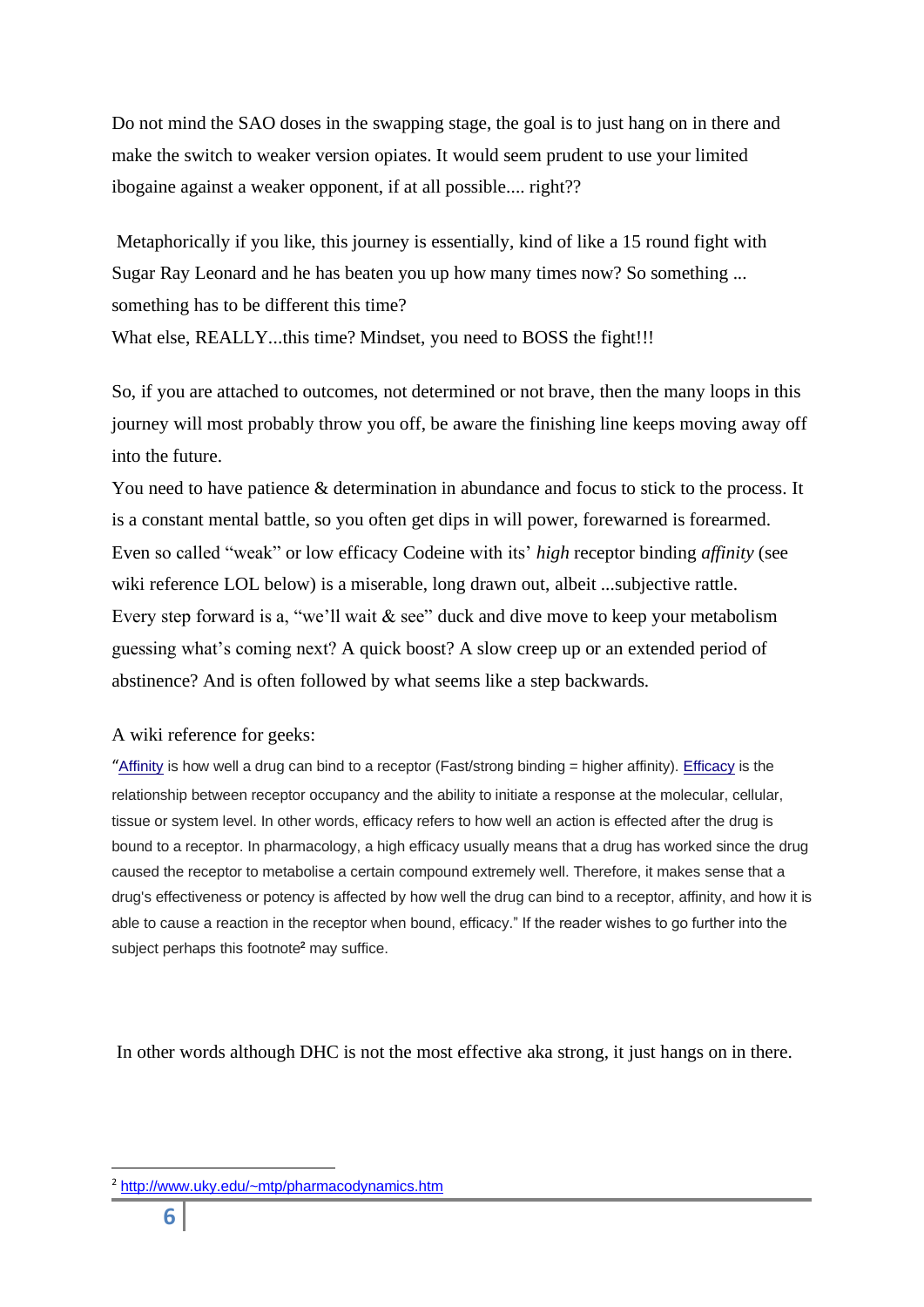Do not mind the SAO doses in the swapping stage, the goal is to just hang on in there and make the switch to weaker version opiates. It would seem prudent to use your limited ibogaine against a weaker opponent, if at all possible.... right??

Metaphorically if you like, this journey is essentially, kind of like a 15 round fight with Sugar Ray Leonard and he has beaten you up how many times now? So something ... something has to be different this time?

What else, REALLY...this time? Mindset, you need to BOSS the fight!!!

So, if you are attached to outcomes, not determined or not brave, then the many loops in this journey will most probably throw you off, be aware the finishing line keeps moving away off into the future.

You need to have patience & determination in abundance and focus to stick to the process. It is a constant mental battle, so you often get dips in will power, forewarned is forearmed. Even so called "weak" or low efficacy Codeine with its' *high* receptor binding *affinity* (see wiki reference LOL below) is a miserable, long drawn out, albeit ...subjective rattle. Every step forward is a, "we'll wait & see" duck and dive move to keep your metabolism guessing what's coming next? A quick boost? A slow creep up or an extended period of abstinence? And is often followed by what seems like a step backwards.

#### A wiki reference for geeks:

"[Affinity](https://en.wikipedia.org/wiki/Dissociation_constant#Protein-ligand_binding) is how well a drug can bind to a receptor (Fast/strong binding = higher affinity). [Efficacy](https://en.wikipedia.org/wiki/Intrinsic_activity) is the relationship between receptor occupancy and the ability to initiate a response at the molecular, cellular, tissue or system level. In other words, efficacy refers to how well an action is effected after the drug is bound to a receptor. In pharmacology, a high efficacy usually means that a drug has worked since the drug caused the receptor to metabolise a certain compound extremely well. Therefore, it makes sense that a drug's effectiveness or potency is affected by how well the drug can bind to a receptor, affinity, and how it is able to cause a reaction in the receptor when bound, efficacy." If the reader wishes to go further into the subject perhaps this footnote**<sup>2</sup>** may suffice.

In other words although DHC is not the most effective aka strong, it just hangs on in there.

<sup>2</sup> <http://www.uky.edu/~mtp/pharmacodynamics.htm>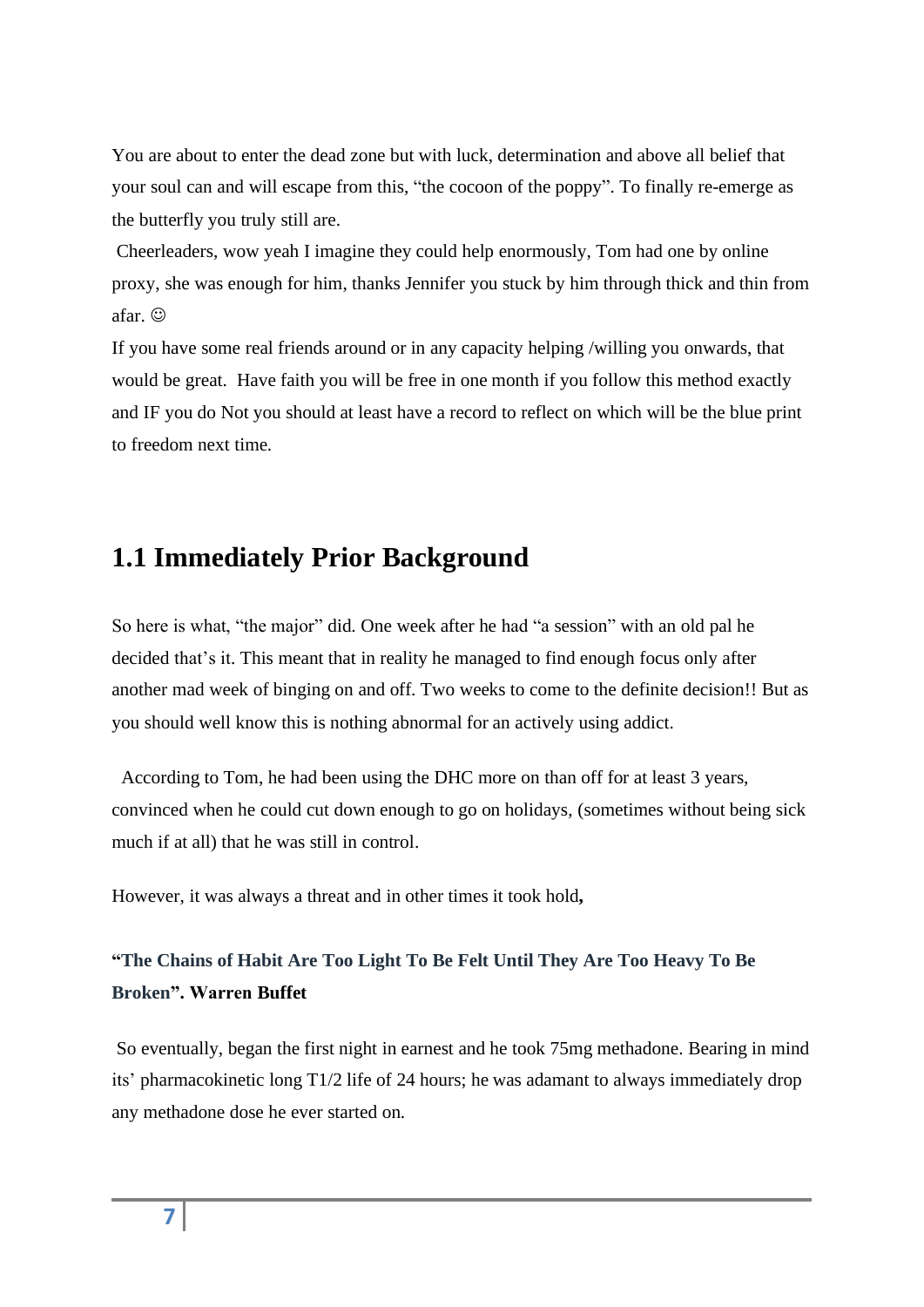You are about to enter the dead zone but with luck, determination and above all belief that your soul can and will escape from this, "the cocoon of the poppy". To finally re-emerge as the butterfly you truly still are.

Cheerleaders, wow yeah I imagine they could help enormously, Tom had one by online proxy, she was enough for him, thanks Jennifer you stuck by him through thick and thin from afar. ☺

If you have some real friends around or in any capacity helping /willing you onwards, that would be great. Have faith you will be free in one month if you follow this method exactly and IF you do Not you should at least have a record to reflect on which will be the blue print to freedom next time.

## **1.1 Immediately Prior Background**

So here is what, "the major" did. One week after he had "a session" with an old pal he decided that's it. This meant that in reality he managed to find enough focus only after another mad week of binging on and off. Two weeks to come to the definite decision!! But as you should well know this is nothing abnormal for an actively using addict.

 According to Tom, he had been using the DHC more on than off for at least 3 years, convinced when he could cut down enough to go on holidays, (sometimes without being sick much if at all) that he was still in control.

However, it was always a threat and in other times it took hold**,** 

#### **"The Chains of Habit Are Too Light To Be Felt Until They Are Too Heavy To Be Broken". Warren Buffet**

So eventually, began the first night in earnest and he took 75mg methadone. Bearing in mind its' pharmacokinetic long T1/2 life of 24 hours; he was adamant to always immediately drop any methadone dose he ever started on.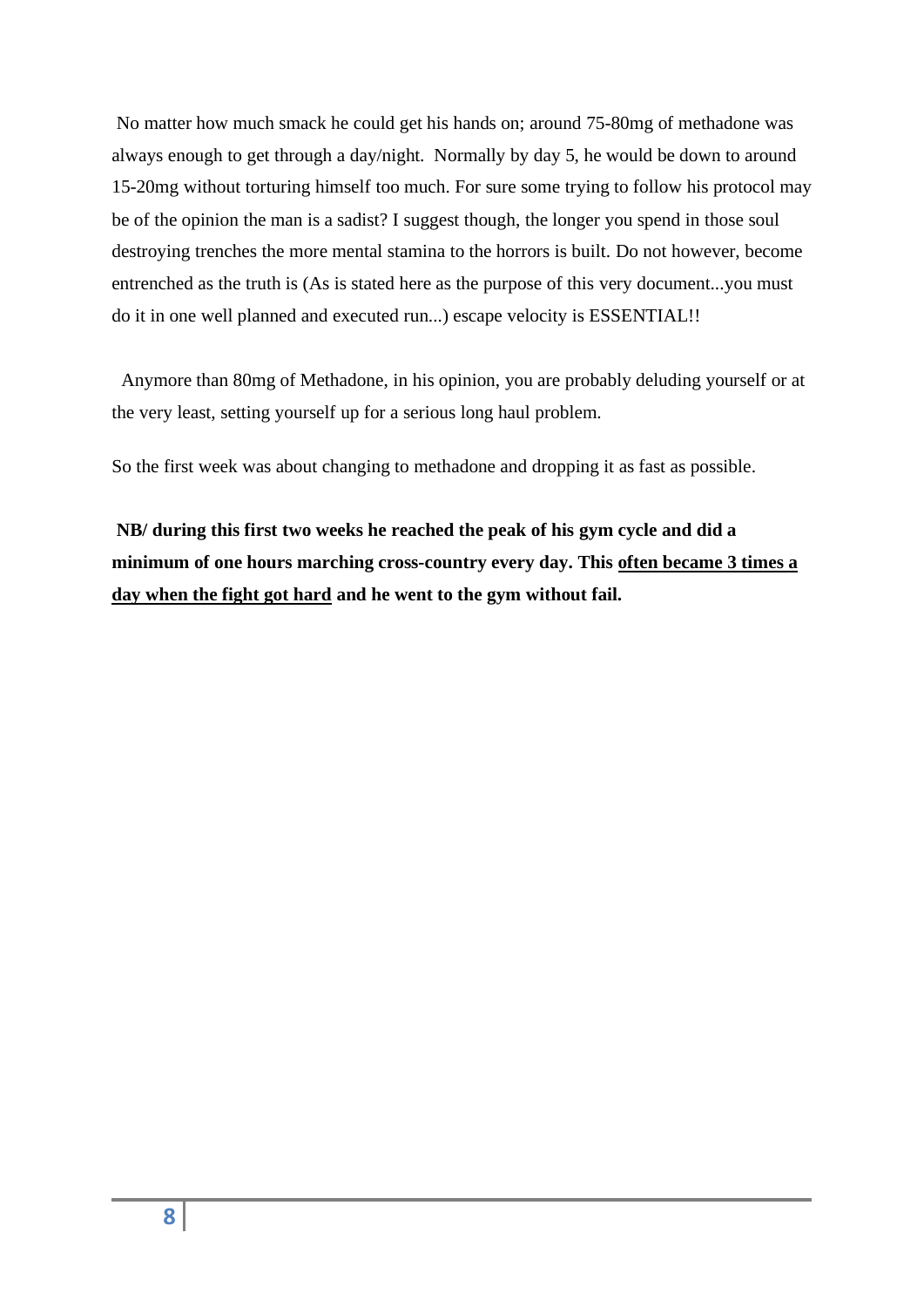No matter how much smack he could get his hands on; around 75-80mg of methadone was always enough to get through a day/night. Normally by day 5, he would be down to around 15-20mg without torturing himself too much. For sure some trying to follow his protocol may be of the opinion the man is a sadist? I suggest though, the longer you spend in those soul destroying trenches the more mental stamina to the horrors is built. Do not however, become entrenched as the truth is (As is stated here as the purpose of this very document...you must do it in one well planned and executed run...) escape velocity is ESSENTIAL!!

Anymore than 80mg of Methadone, in his opinion, you are probably deluding yourself or at the very least, setting yourself up for a serious long haul problem.

So the first week was about changing to methadone and dropping it as fast as possible.

**NB/ during this first two weeks he reached the peak of his gym cycle and did a minimum of one hours marching cross-country every day. This often became 3 times a day when the fight got hard and he went to the gym without fail.**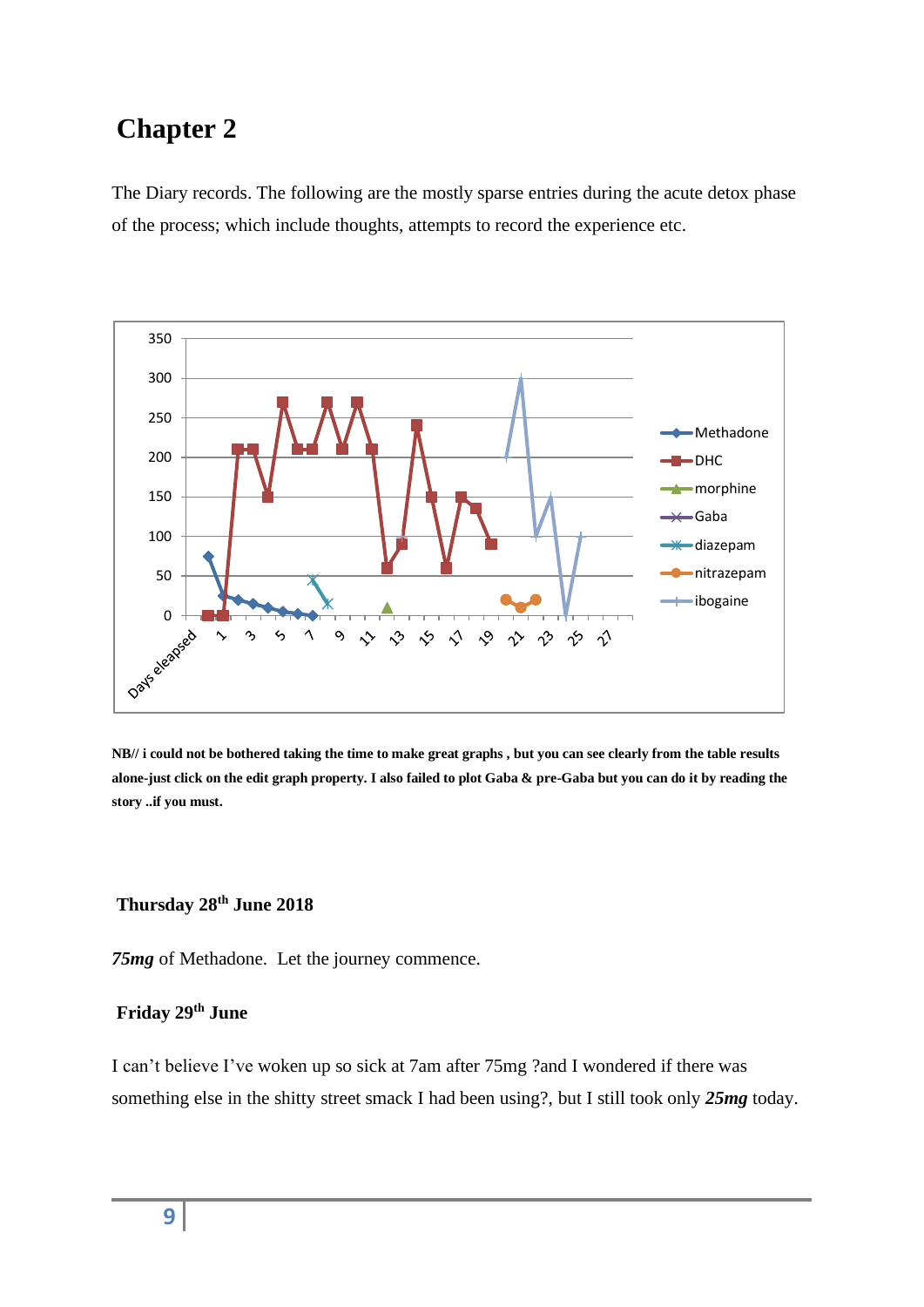## **Chapter 2**

The Diary records. The following are the mostly sparse entries during the acute detox phase of the process; which include thoughts, attempts to record the experience etc.



**NB// i could not be bothered taking the time to make great graphs , but you can see clearly from the table results alone-just click on the edit graph property. I also failed to plot Gaba & pre-Gaba but you can do it by reading the story ..if you must.** 

#### **Thursday 28th June 2018**

*75mg* of Methadone. Let the journey commence.

## **Friday 29th June**

I can't believe I've woken up so sick at 7am after 75mg ?and I wondered if there was something else in the shitty street smack I had been using?, but I still took only *25mg* today.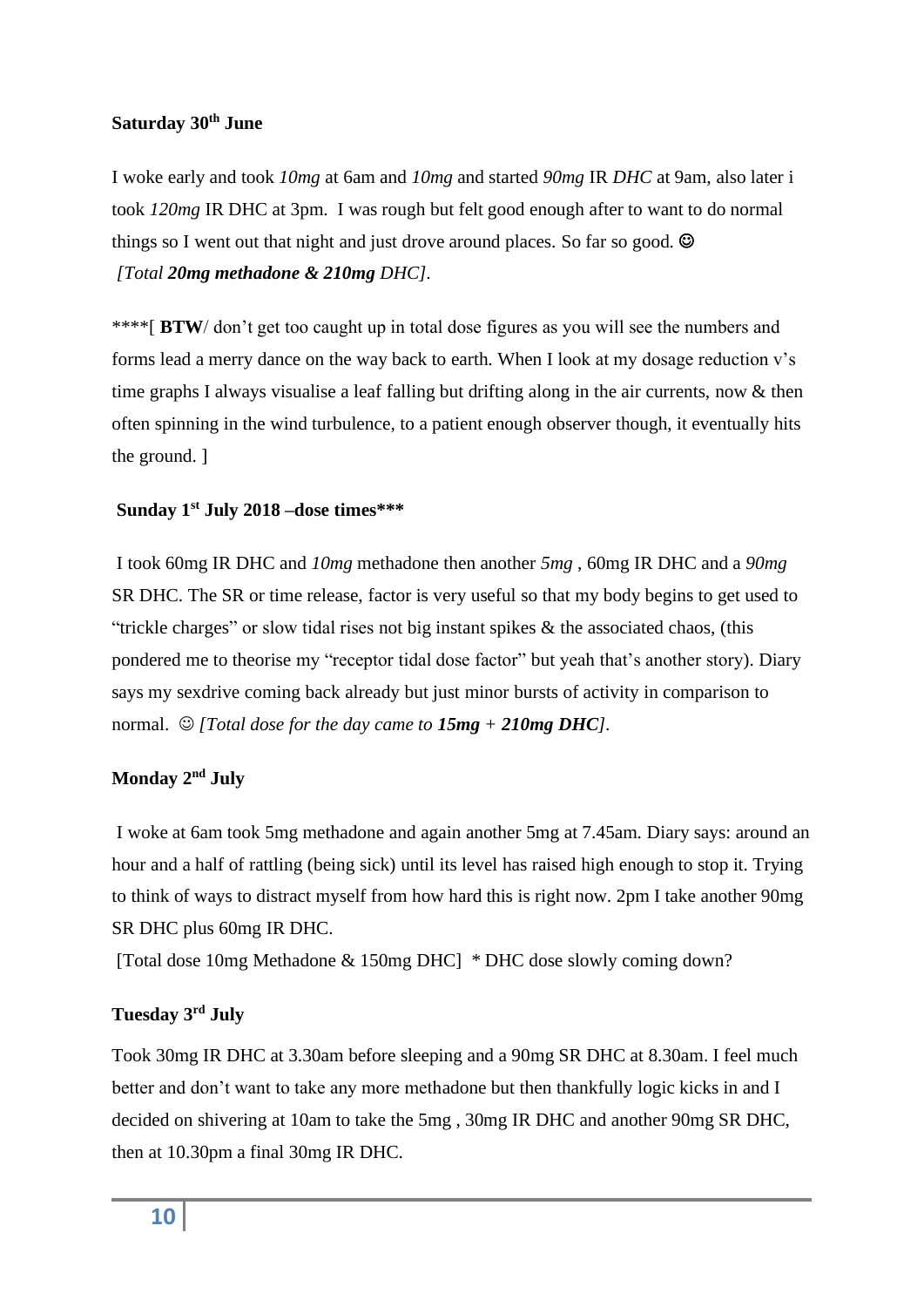#### **Saturday 30th June**

I woke early and took *10mg* at 6am and *10mg* and started *90mg* IR *DHC* at 9am, also later i took *120mg* IR DHC at 3pm. I was rough but felt good enough after to want to do normal things so I went out that night and just drove around places. So far so good.  $\odot$ *[Total 20mg methadone & 210mg DHC].* 

\*\*\*\*[ **BTW**/ don't get too caught up in total dose figures as you will see the numbers and forms lead a merry dance on the way back to earth. When I look at my dosage reduction v's time graphs I always visualise a leaf falling but drifting along in the air currents, now & then often spinning in the wind turbulence, to a patient enough observer though, it eventually hits the ground. ]

#### **Sunday 1st July 2018 –dose times\*\*\***

I took 60mg IR DHC and *10mg* methadone then another *5mg* , 60mg IR DHC and a *90mg* SR DHC. The SR or time release, factor is very useful so that my body begins to get used to "trickle charges" or slow tidal rises not big instant spikes & the associated chaos, (this pondered me to theorise my "receptor tidal dose factor" but yeah that's another story). Diary says my sexdrive coming back already but just minor bursts of activity in comparison to normal.  $\odot$  *[Total dose for the day came to*  $15mg + 210mg$  *DHC]*.

#### **Monday 2nd July**

I woke at 6am took 5mg methadone and again another 5mg at 7.45am. Diary says: around an hour and a half of rattling (being sick) until its level has raised high enough to stop it. Trying to think of ways to distract myself from how hard this is right now. 2pm I take another 90mg SR DHC plus 60mg IR DHC.

[Total dose 10mg Methadone & 150mg DHC] \* DHC dose slowly coming down?

#### **Tuesday 3rd July**

Took 30mg IR DHC at 3.30am before sleeping and a 90mg SR DHC at 8.30am. I feel much better and don't want to take any more methadone but then thankfully logic kicks in and I decided on shivering at 10am to take the 5mg , 30mg IR DHC and another 90mg SR DHC, then at 10.30pm a final 30mg IR DHC.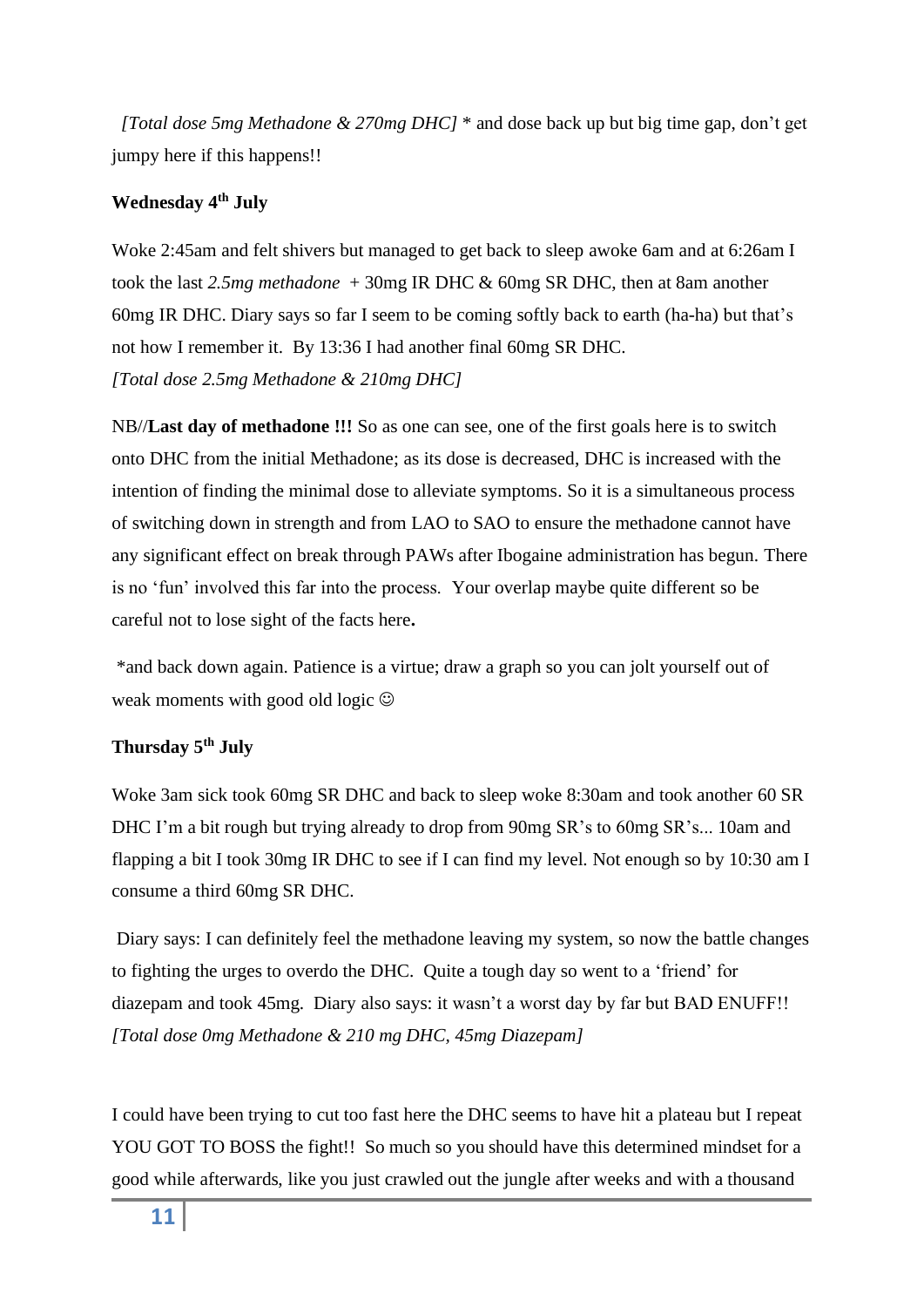*[Total dose 5mg Methadone & 270mg DHC]* \* and dose back up but big time gap, don't get jumpy here if this happens!!

#### **Wednesday 4th July**

Woke 2:45am and felt shivers but managed to get back to sleep awoke 6am and at 6:26am I took the last *2.5mg methadone* + 30mg IR DHC & 60mg SR DHC, then at 8am another 60mg IR DHC. Diary says so far I seem to be coming softly back to earth (ha-ha) but that's not how I remember it. By 13:36 I had another final 60mg SR DHC. *[Total dose 2.5mg Methadone & 210mg DHC]*

NB//**Last day of methadone !!!** So as one can see, one of the first goals here is to switch onto DHC from the initial Methadone; as its dose is decreased, DHC is increased with the intention of finding the minimal dose to alleviate symptoms. So it is a simultaneous process of switching down in strength and from LAO to SAO to ensure the methadone cannot have any significant effect on break through PAWs after Ibogaine administration has begun. There is no 'fun' involved this far into the process. Your overlap maybe quite different so be careful not to lose sight of the facts here**.** 

\*and back down again. Patience is a virtue; draw a graph so you can jolt yourself out of weak moments with good old logic  $\odot$ 

#### **Thursday 5th July**

Woke 3am sick took 60mg SR DHC and back to sleep woke 8:30am and took another 60 SR DHC I'm a bit rough but trying already to drop from 90mg SR's to 60mg SR's... 10am and flapping a bit I took 30mg IR DHC to see if I can find my level. Not enough so by 10:30 am I consume a third 60mg SR DHC.

Diary says: I can definitely feel the methadone leaving my system, so now the battle changes to fighting the urges to overdo the DHC. Quite a tough day so went to a 'friend' for diazepam and took 45mg. Diary also says: it wasn't a worst day by far but BAD ENUFF!! *[Total dose 0mg Methadone & 210 mg DHC, 45mg Diazepam]*

I could have been trying to cut too fast here the DHC seems to have hit a plateau but I repeat YOU GOT TO BOSS the fight!! So much so you should have this determined mindset for a good while afterwards, like you just crawled out the jungle after weeks and with a thousand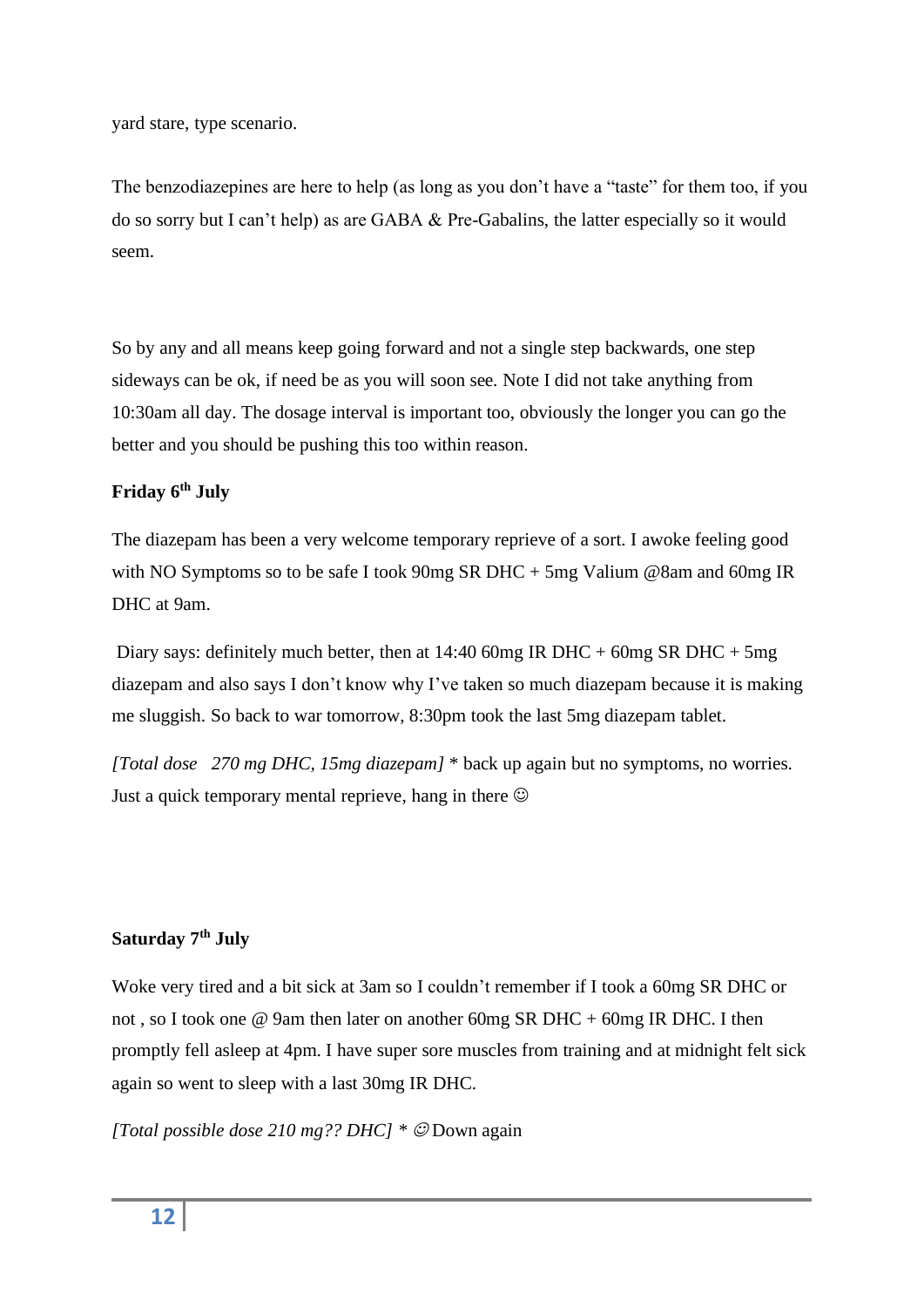yard stare, type scenario.

The benzodiazepines are here to help (as long as you don't have a "taste" for them too, if you do so sorry but I can't help) as are GABA & Pre-Gabalins, the latter especially so it would seem.

So by any and all means keep going forward and not a single step backwards, one step sideways can be ok, if need be as you will soon see. Note I did not take anything from 10:30am all day. The dosage interval is important too, obviously the longer you can go the better and you should be pushing this too within reason.

#### **Friday 6th July**

The diazepam has been a very welcome temporary reprieve of a sort. I awoke feeling good with NO Symptoms so to be safe I took 90mg SR DHC + 5mg Valium @8am and 60mg IR DHC at 9am.

Diary says: definitely much better, then at  $14:4060$ mg IR DHC +  $60$ mg SR DHC +  $5$ mg diazepam and also says I don't know why I've taken so much diazepam because it is making me sluggish. So back to war tomorrow, 8:30pm took the last 5mg diazepam tablet.

*[Total dose 270 mg DHC, 15mg diazepam]* \* back up again but no symptoms, no worries. Just a quick temporary mental reprieve, hang in there  $\odot$ 

#### **Saturday 7th July**

Woke very tired and a bit sick at 3am so I couldn't remember if I took a 60mg SR DHC or not , so I took one @ 9am then later on another 60mg SR DHC + 60mg IR DHC. I then promptly fell asleep at 4pm. I have super sore muscles from training and at midnight felt sick again so went to sleep with a last 30mg IR DHC.

*[Total possible dose 210 mg?? DHC] \** ☺ Down again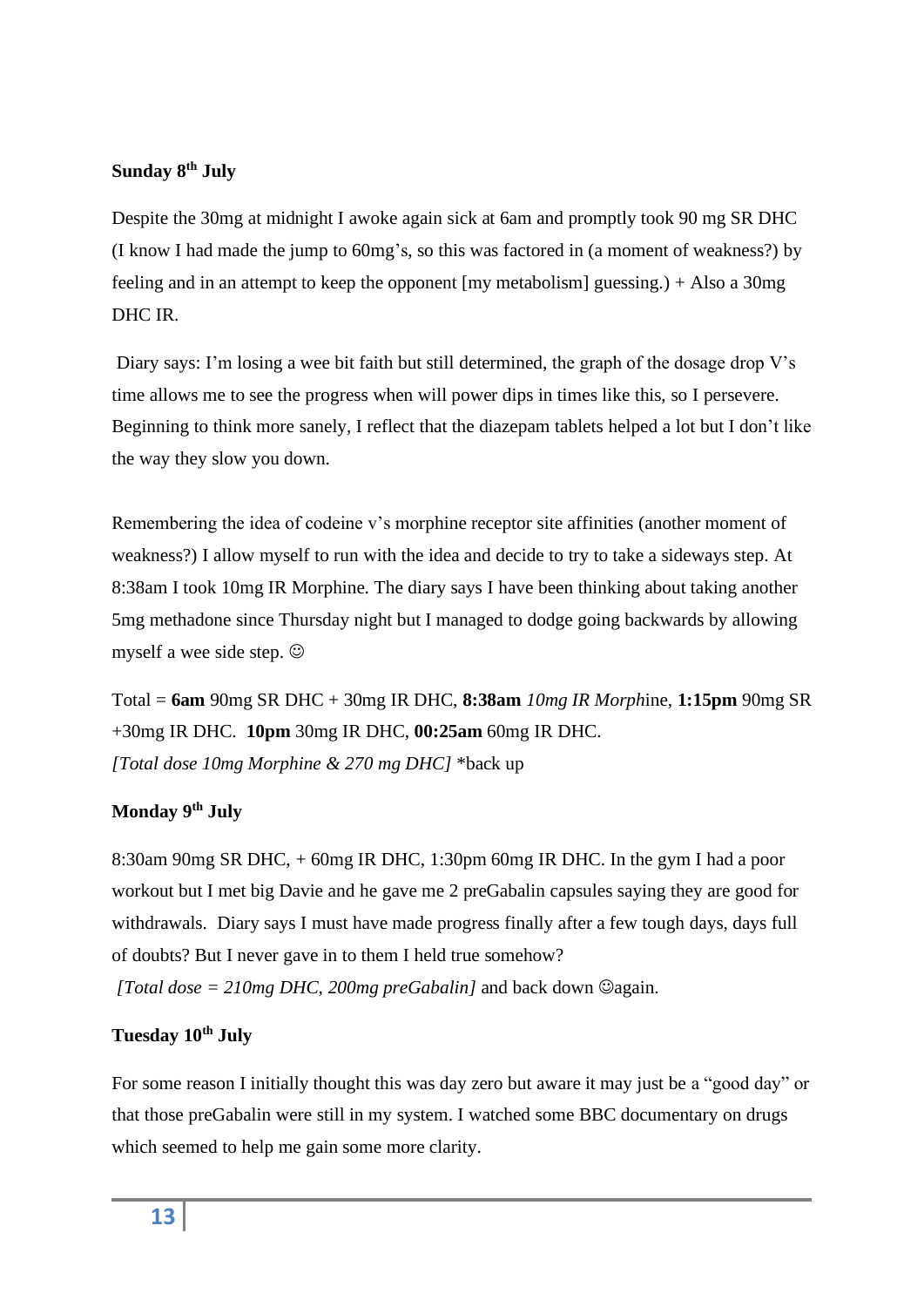#### **Sunday 8th July**

Despite the 30mg at midnight I awoke again sick at 6am and promptly took 90 mg SR DHC (I know I had made the jump to 60mg's, so this was factored in (a moment of weakness?) by feeling and in an attempt to keep the opponent [my metabolism] guessing.) + Also a 30mg DHC IR.

Diary says: I'm losing a wee bit faith but still determined, the graph of the dosage drop V's time allows me to see the progress when will power dips in times like this, so I persevere. Beginning to think more sanely, I reflect that the diazepam tablets helped a lot but I don't like the way they slow you down.

Remembering the idea of codeine v's morphine receptor site affinities (another moment of weakness?) I allow myself to run with the idea and decide to try to take a sideways step. At 8:38am I took 10mg IR Morphine. The diary says I have been thinking about taking another 5mg methadone since Thursday night but I managed to dodge going backwards by allowing myself a wee side step.  $\odot$ 

Total = **6am** 90mg SR DHC + 30mg IR DHC, **8:38am** *10mg IR Morph*ine, **1:15pm** 90mg SR +30mg IR DHC. **10pm** 30mg IR DHC, **00:25am** 60mg IR DHC. *[Total dose 10mg Morphine & 270 mg DHC]* \*back up

#### **Monday 9th July**

8:30am 90mg SR DHC, + 60mg IR DHC, 1:30pm 60mg IR DHC. In the gym I had a poor workout but I met big Davie and he gave me 2 preGabalin capsules saying they are good for withdrawals. Diary says I must have made progress finally after a few tough days, days full of doubts? But I never gave in to them I held true somehow?

*[Total dose = 210mg DHC, 200mg preGabalin]* and back down ☺again.

#### **Tuesday 10th July**

For some reason I initially thought this was day zero but aware it may just be a "good day" or that those preGabalin were still in my system. I watched some BBC documentary on drugs which seemed to help me gain some more clarity.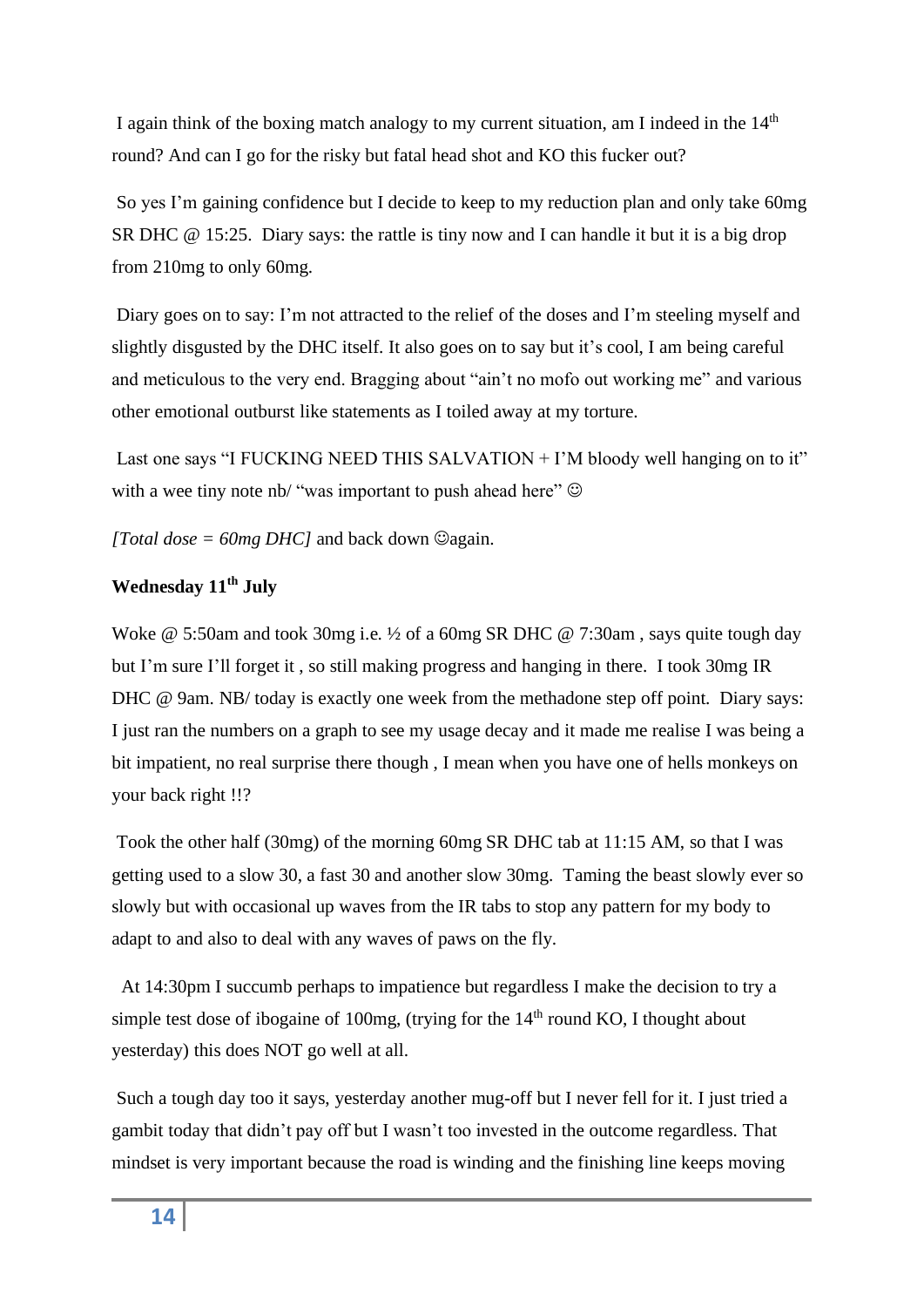I again think of the boxing match analogy to my current situation, am I indeed in the  $14<sup>th</sup>$ round? And can I go for the risky but fatal head shot and KO this fucker out?

So yes I'm gaining confidence but I decide to keep to my reduction plan and only take 60mg SR DHC @ 15:25. Diary says: the rattle is tiny now and I can handle it but it is a big drop from 210mg to only 60mg.

Diary goes on to say: I'm not attracted to the relief of the doses and I'm steeling myself and slightly disgusted by the DHC itself. It also goes on to say but it's cool, I am being careful and meticulous to the very end. Bragging about "ain't no mofo out working me" and various other emotional outburst like statements as I toiled away at my torture.

Last one says "I FUCKING NEED THIS SALVATION + I'M bloody well hanging on to it" with a wee tiny note nb/ "was important to push ahead here"  $\odot$ 

*[Total dose = 60mg DHC]* and back down  $\mathcal{Q}$ again.

#### **Wednesday 11th July**

Woke @ 5:50am and took 30mg i.e. ½ of a 60mg SR DHC @ 7:30am , says quite tough day but I'm sure I'll forget it , so still making progress and hanging in there. I took 30mg IR DHC @ 9am. NB/ today is exactly one week from the methadone step off point. Diary says: I just ran the numbers on a graph to see my usage decay and it made me realise I was being a bit impatient, no real surprise there though , I mean when you have one of hells monkeys on your back right !!?

Took the other half (30mg) of the morning 60mg SR DHC tab at 11:15 AM, so that I was getting used to a slow 30, a fast 30 and another slow 30mg. Taming the beast slowly ever so slowly but with occasional up waves from the IR tabs to stop any pattern for my body to adapt to and also to deal with any waves of paws on the fly.

 At 14:30pm I succumb perhaps to impatience but regardless I make the decision to try a simple test dose of ibogaine of 100mg, (trying for the  $14<sup>th</sup>$  round KO, I thought about yesterday) this does NOT go well at all.

Such a tough day too it says, yesterday another mug-off but I never fell for it. I just tried a gambit today that didn't pay off but I wasn't too invested in the outcome regardless. That mindset is very important because the road is winding and the finishing line keeps moving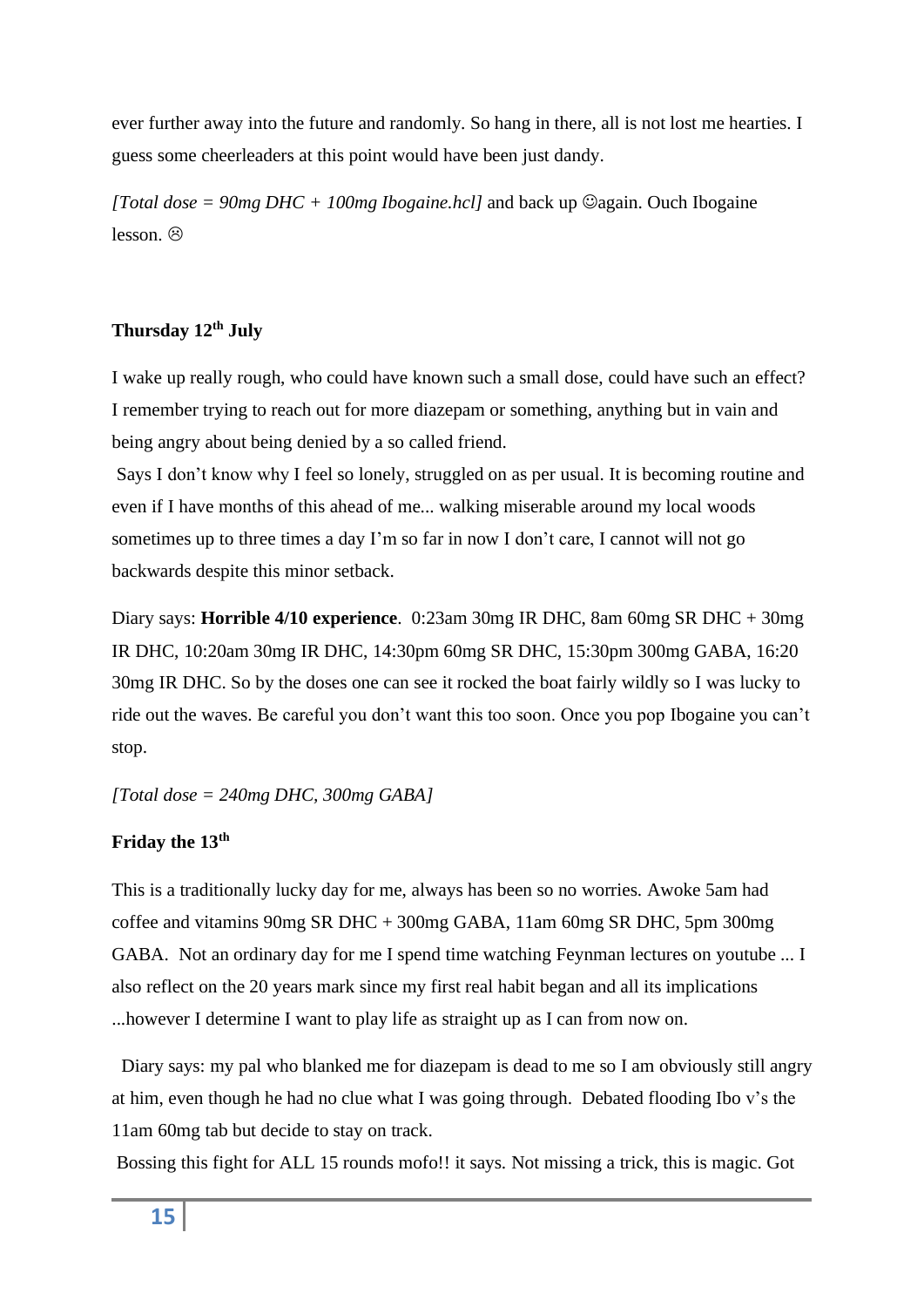ever further away into the future and randomly. So hang in there, all is not lost me hearties. I guess some cheerleaders at this point would have been just dandy.

*[Total dose = 90mg DHC + 100mg Ibogaine.hcl]* and back up  $\heartsuit$ again. Ouch Ibogaine  $lesson$   $\otimes$ 

#### **Thursday 12th July**

I wake up really rough, who could have known such a small dose, could have such an effect? I remember trying to reach out for more diazepam or something, anything but in vain and being angry about being denied by a so called friend.

Says I don't know why I feel so lonely, struggled on as per usual. It is becoming routine and even if I have months of this ahead of me... walking miserable around my local woods sometimes up to three times a day I'm so far in now I don't care, I cannot will not go backwards despite this minor setback.

Diary says: **Horrible 4/10 experience**. 0:23am 30mg IR DHC, 8am 60mg SR DHC + 30mg IR DHC, 10:20am 30mg IR DHC, 14:30pm 60mg SR DHC, 15:30pm 300mg GABA, 16:20 30mg IR DHC. So by the doses one can see it rocked the boat fairly wildly so I was lucky to ride out the waves. Be careful you don't want this too soon. Once you pop Ibogaine you can't stop.

*[Total dose = 240mg DHC, 300mg GABA]*

#### **Friday the 13th**

This is a traditionally lucky day for me, always has been so no worries. Awoke 5am had coffee and vitamins 90mg SR DHC + 300mg GABA, 11am 60mg SR DHC, 5pm 300mg GABA. Not an ordinary day for me I spend time watching Feynman lectures on youtube ... I also reflect on the 20 years mark since my first real habit began and all its implications ...however I determine I want to play life as straight up as I can from now on.

Diary says: my pal who blanked me for diazepam is dead to me so I am obviously still angry at him, even though he had no clue what I was going through. Debated flooding Ibo v's the 11am 60mg tab but decide to stay on track.

Bossing this fight for ALL 15 rounds mofo!! it says. Not missing a trick, this is magic. Got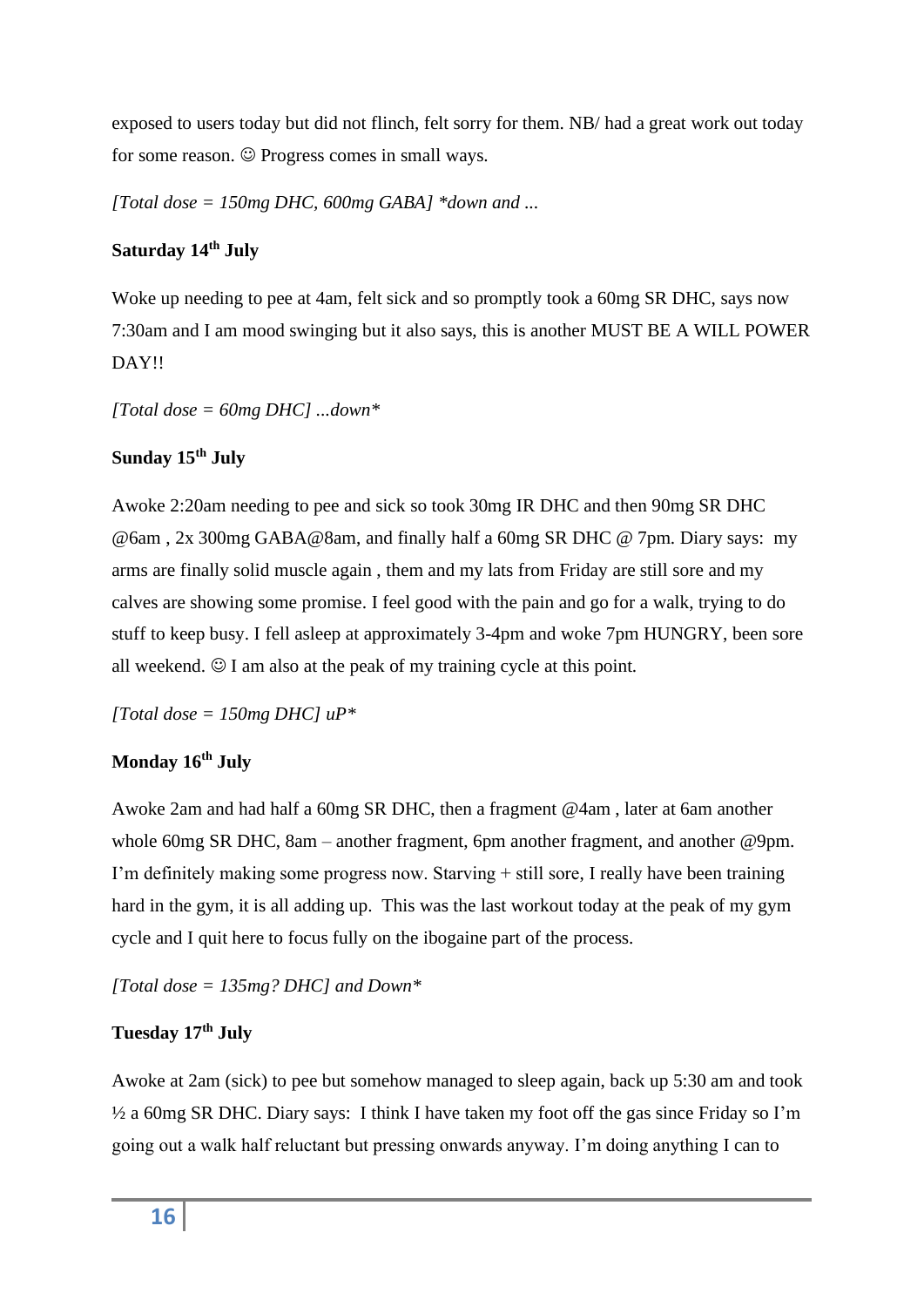exposed to users today but did not flinch, felt sorry for them. NB/ had a great work out today for some reason.  $©$  Progress comes in small ways.

*[Total dose = 150mg DHC, 600mg GABA] \*down and ...*

#### **Saturday 14th July**

Woke up needing to pee at 4am, felt sick and so promptly took a 60mg SR DHC, says now 7:30am and I am mood swinging but it also says, this is another MUST BE A WILL POWER DAY!!

*[Total dose = 60mg DHC] ...down\**

#### **Sunday 15th July**

Awoke 2:20am needing to pee and sick so took 30mg IR DHC and then 90mg SR DHC @6am , 2x 300mg GABA@8am, and finally half a 60mg SR DHC @ 7pm. Diary says: my arms are finally solid muscle again , them and my lats from Friday are still sore and my calves are showing some promise. I feel good with the pain and go for a walk, trying to do stuff to keep busy. I fell asleep at approximately 3-4pm and woke 7pm HUNGRY, been sore all weekend.  $\odot$  I am also at the peak of my training cycle at this point.

*[Total dose = 150mg DHC] uP\**

#### **Monday 16th July**

Awoke 2am and had half a 60mg SR DHC, then a fragment @4am , later at 6am another whole 60mg SR DHC, 8am – another fragment, 6pm another fragment, and another @9pm. I'm definitely making some progress now. Starving + still sore, I really have been training hard in the gym, it is all adding up. This was the last workout today at the peak of my gym cycle and I quit here to focus fully on the ibogaine part of the process.

*[Total dose = 135mg? DHC] and Down\**

#### **Tuesday 17th July**

Awoke at 2am (sick) to pee but somehow managed to sleep again, back up 5:30 am and took ½ a 60mg SR DHC. Diary says: I think I have taken my foot off the gas since Friday so I'm going out a walk half reluctant but pressing onwards anyway. I'm doing anything I can to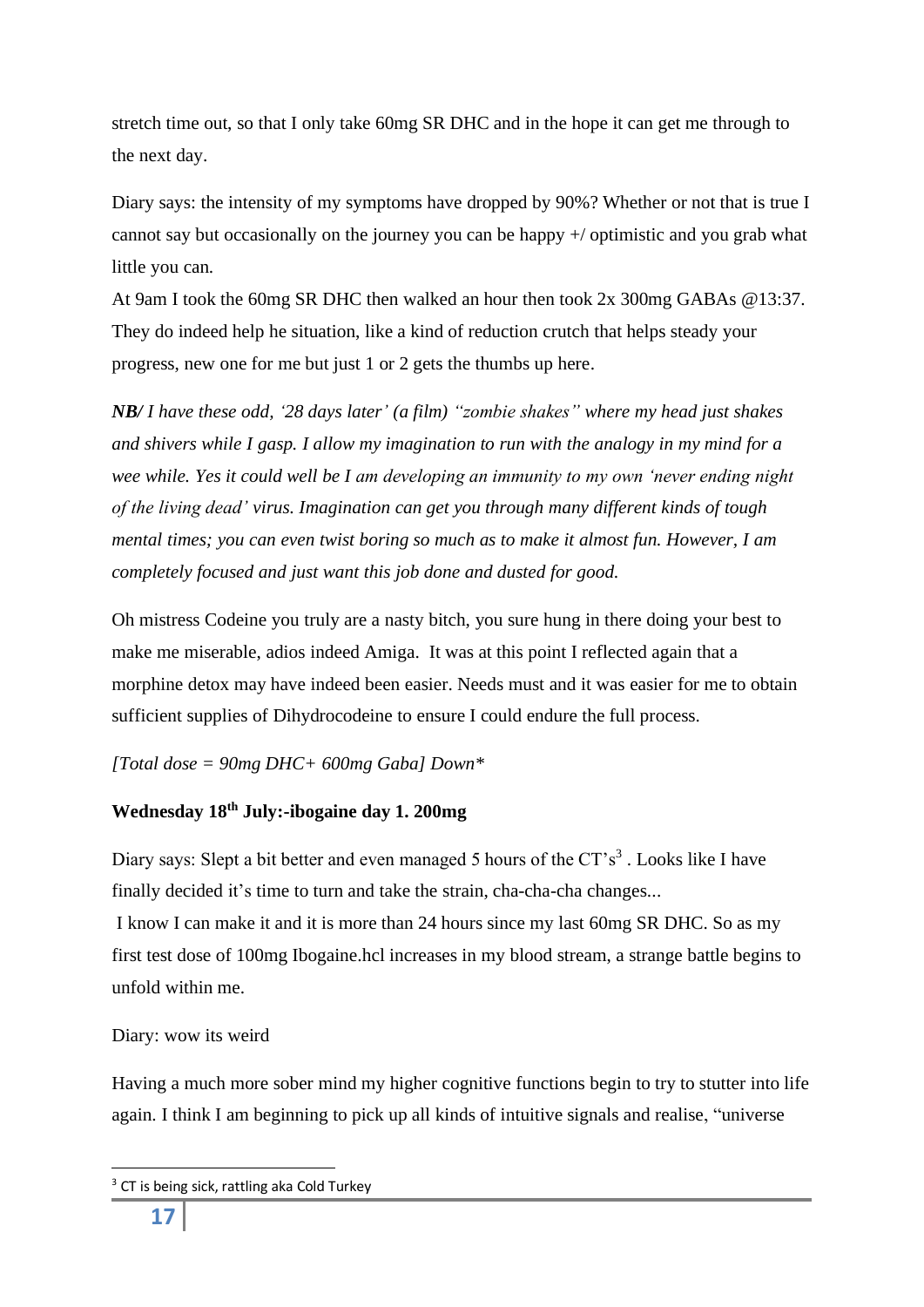stretch time out, so that I only take 60mg SR DHC and in the hope it can get me through to the next day.

Diary says: the intensity of my symptoms have dropped by 90%? Whether or not that is true I cannot say but occasionally on the journey you can be happy +/ optimistic and you grab what little you can.

At 9am I took the 60mg SR DHC then walked an hour then took 2x 300mg GABAs @13:37. They do indeed help he situation, like a kind of reduction crutch that helps steady your progress, new one for me but just 1 or 2 gets the thumbs up here.

*NB/ I have these odd, '28 days later' (a film) "zombie shakes" where my head just shakes and shivers while I gasp. I allow my imagination to run with the analogy in my mind for a wee while. Yes it could well be I am developing an immunity to my own 'never ending night of the living dead' virus. Imagination can get you through many different kinds of tough mental times; you can even twist boring so much as to make it almost fun. However, I am completely focused and just want this job done and dusted for good.* 

Oh mistress Codeine you truly are a nasty bitch, you sure hung in there doing your best to make me miserable, adios indeed Amiga. It was at this point I reflected again that a morphine detox may have indeed been easier. Needs must and it was easier for me to obtain sufficient supplies of Dihydrocodeine to ensure I could endure the full process.

#### *[Total dose = 90mg DHC+ 600mg Gaba] Down\**

### **Wednesday 18th July:-ibogaine day 1. 200mg**

Diary says: Slept a bit better and even managed 5 hours of the  $CT's<sup>3</sup>$ . Looks like I have finally decided it's time to turn and take the strain, cha-cha-cha changes...

I know I can make it and it is more than 24 hours since my last 60mg SR DHC. So as my first test dose of 100mg Ibogaine.hcl increases in my blood stream, a strange battle begins to unfold within me.

#### Diary: wow its weird

Having a much more sober mind my higher cognitive functions begin to try to stutter into life again. I think I am beginning to pick up all kinds of intuitive signals and realise, "universe

<sup>&</sup>lt;sup>3</sup> CT is being sick, rattling aka Cold Turkey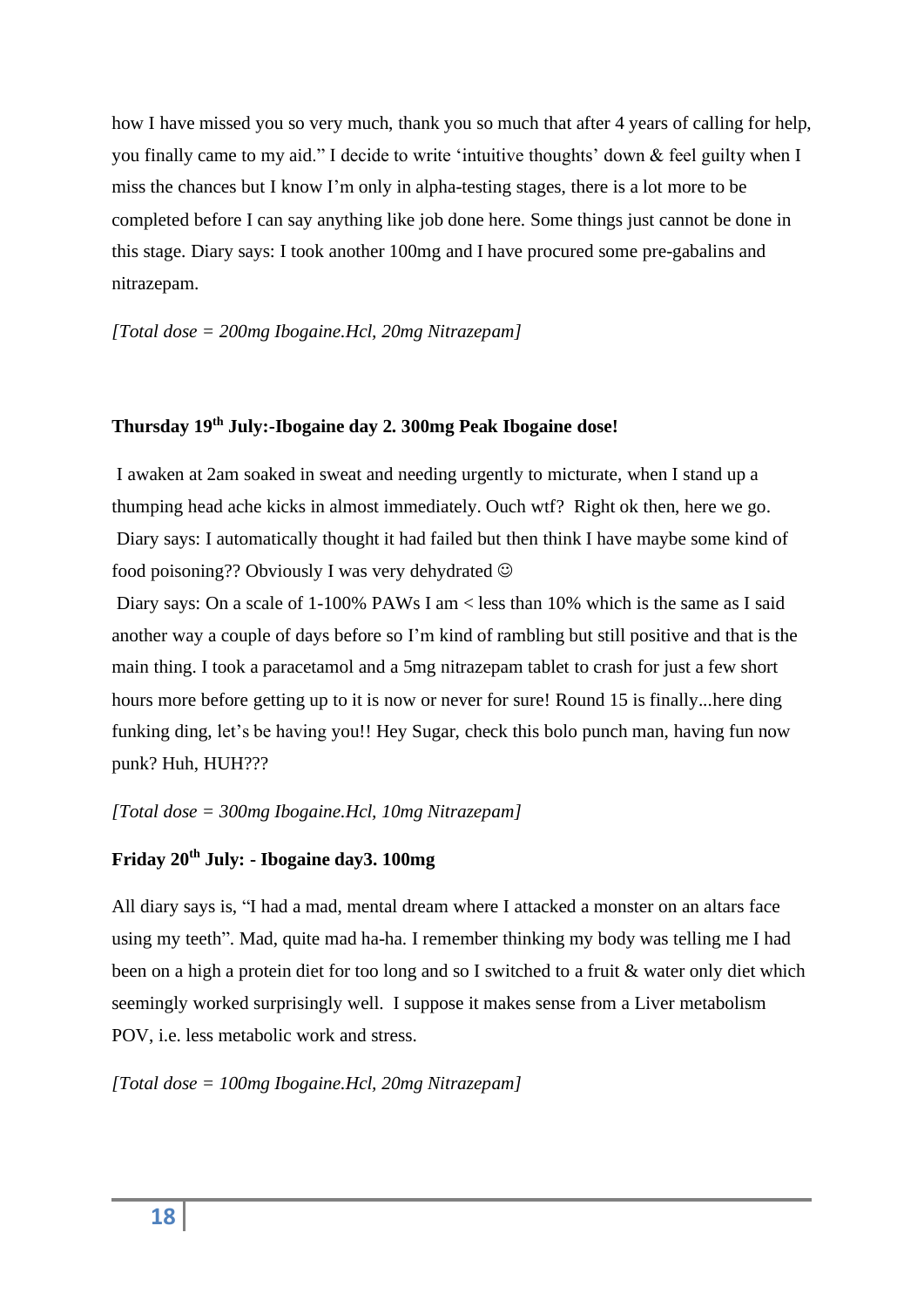how I have missed you so very much, thank you so much that after 4 years of calling for help, you finally came to my aid." I decide to write 'intuitive thoughts' down & feel guilty when I miss the chances but I know I'm only in alpha-testing stages, there is a lot more to be completed before I can say anything like job done here. Some things just cannot be done in this stage. Diary says: I took another 100mg and I have procured some pre-gabalins and nitrazepam.

*[Total dose = 200mg Ibogaine.Hcl, 20mg Nitrazepam]*

#### **Thursday 19th July:-Ibogaine day 2. 300mg Peak Ibogaine dose!**

I awaken at 2am soaked in sweat and needing urgently to micturate, when I stand up a thumping head ache kicks in almost immediately. Ouch wtf? Right ok then, here we go. Diary says: I automatically thought it had failed but then think I have maybe some kind of food poisoning?? Obviously I was very dehydrated  $\odot$ 

Diary says: On a scale of 1-100% PAWs I am < less than 10% which is the same as I said another way a couple of days before so I'm kind of rambling but still positive and that is the main thing. I took a paracetamol and a 5mg nitrazepam tablet to crash for just a few short hours more before getting up to it is now or never for sure! Round 15 is finally...here ding funking ding, let's be having you!! Hey Sugar, check this bolo punch man, having fun now punk? Huh, HUH???

#### *[Total dose = 300mg Ibogaine.Hcl, 10mg Nitrazepam]*

#### **Friday 20th July: - Ibogaine day3. 100mg**

All diary says is, "I had a mad, mental dream where I attacked a monster on an altars face using my teeth". Mad, quite mad ha-ha. I remember thinking my body was telling me I had been on a high a protein diet for too long and so I switched to a fruit & water only diet which seemingly worked surprisingly well. I suppose it makes sense from a Liver metabolism POV, i.e. less metabolic work and stress.

*[Total dose = 100mg Ibogaine.Hcl, 20mg Nitrazepam]*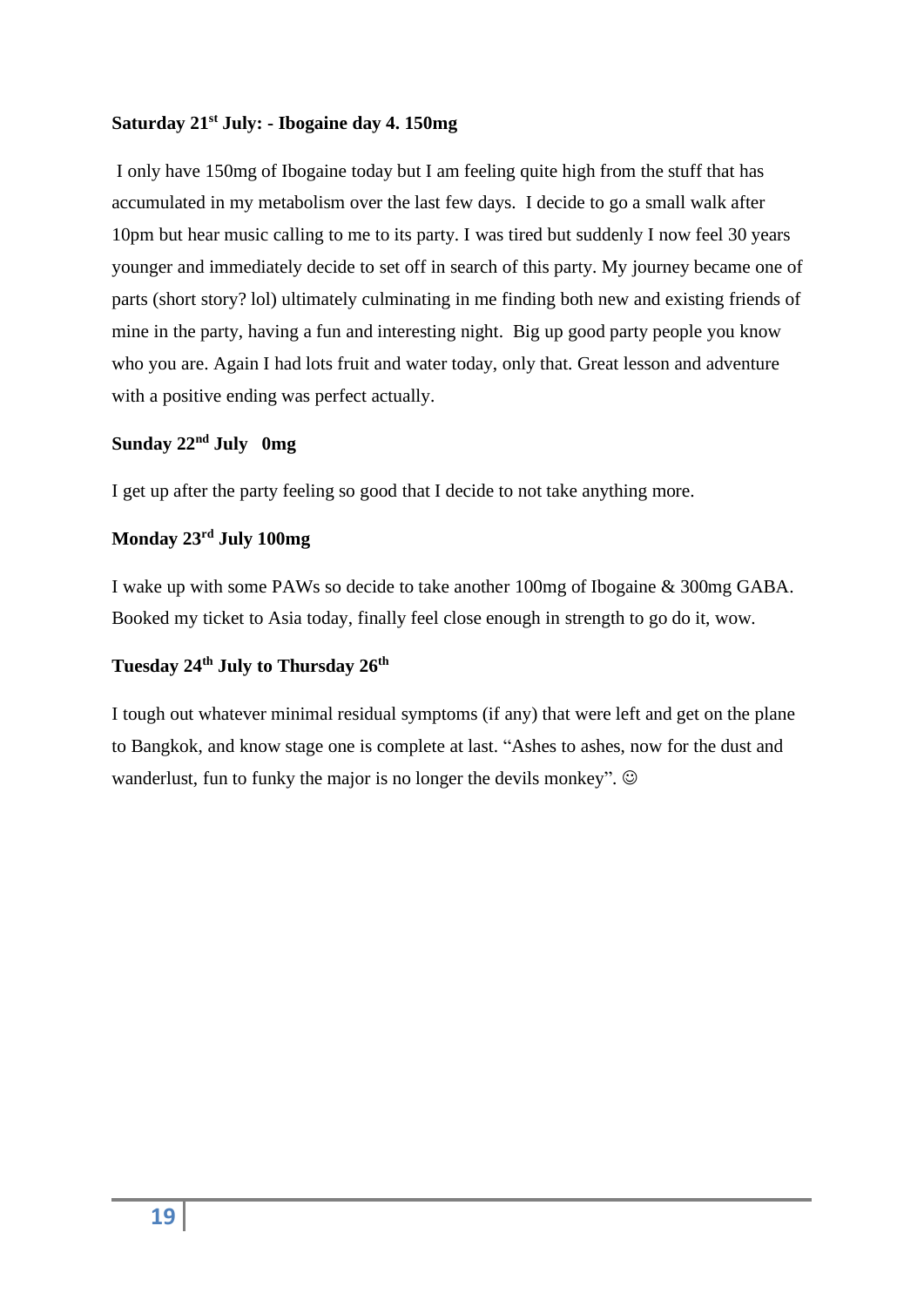#### **Saturday 21st July: - Ibogaine day 4. 150mg**

I only have 150mg of Ibogaine today but I am feeling quite high from the stuff that has accumulated in my metabolism over the last few days. I decide to go a small walk after 10pm but hear music calling to me to its party. I was tired but suddenly I now feel 30 years younger and immediately decide to set off in search of this party. My journey became one of parts (short story? lol) ultimately culminating in me finding both new and existing friends of mine in the party, having a fun and interesting night. Big up good party people you know who you are. Again I had lots fruit and water today, only that. Great lesson and adventure with a positive ending was perfect actually.

#### **Sunday 22nd July 0mg**

I get up after the party feeling so good that I decide to not take anything more.

#### **Monday 23rd July 100mg**

I wake up with some PAWs so decide to take another 100mg of Ibogaine & 300mg GABA. Booked my ticket to Asia today, finally feel close enough in strength to go do it, wow.

#### **Tuesday 24th July to Thursday 26th**

I tough out whatever minimal residual symptoms (if any) that were left and get on the plane to Bangkok, and know stage one is complete at last. "Ashes to ashes, now for the dust and wanderlust, fun to funky the major is no longer the devils monkey".  $\odot$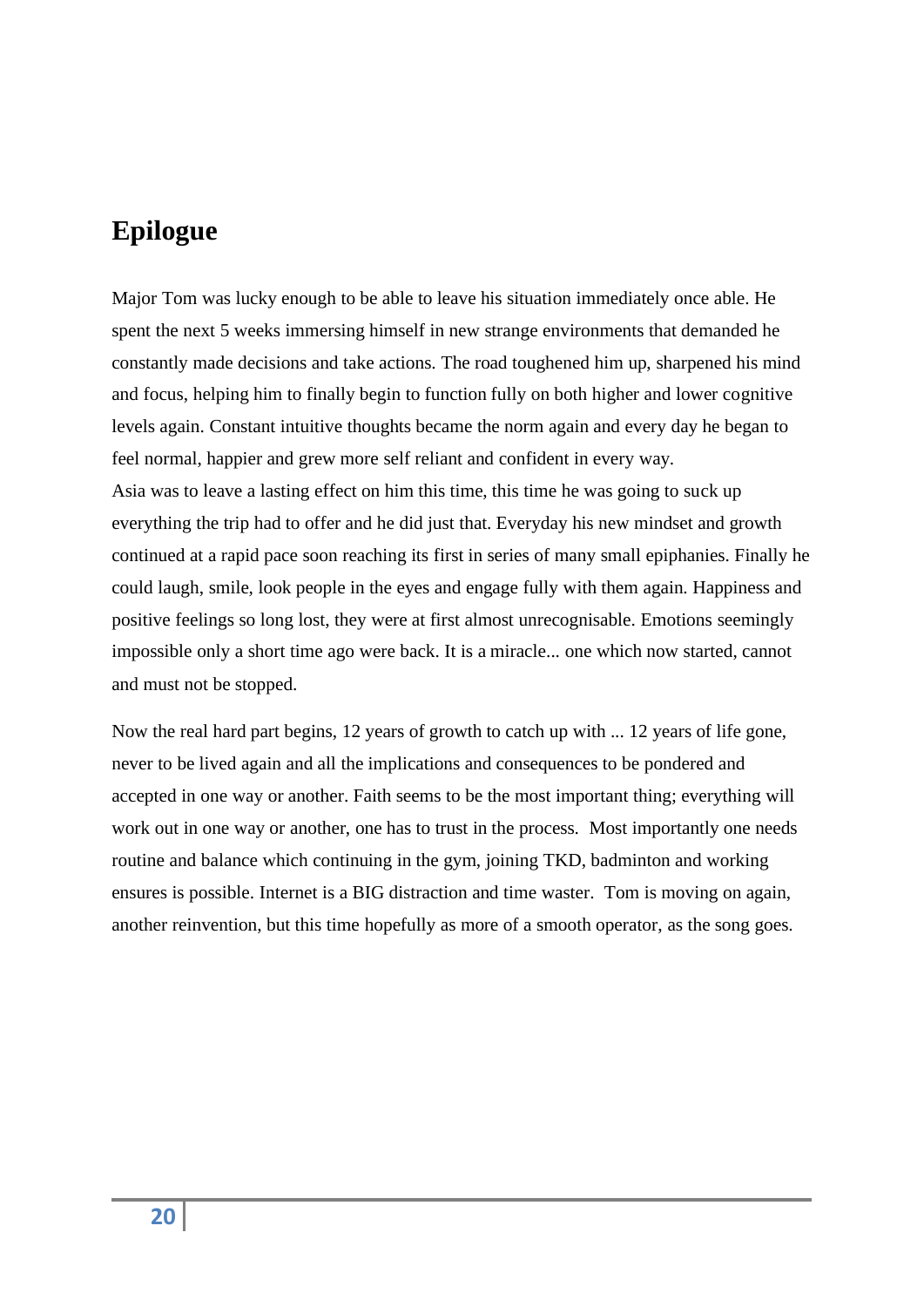## **Epilogue**

Major Tom was lucky enough to be able to leave his situation immediately once able. He spent the next 5 weeks immersing himself in new strange environments that demanded he constantly made decisions and take actions. The road toughened him up, sharpened his mind and focus, helping him to finally begin to function fully on both higher and lower cognitive levels again. Constant intuitive thoughts became the norm again and every day he began to feel normal, happier and grew more self reliant and confident in every way. Asia was to leave a lasting effect on him this time, this time he was going to suck up everything the trip had to offer and he did just that. Everyday his new mindset and growth continued at a rapid pace soon reaching its first in series of many small epiphanies. Finally he could laugh, smile, look people in the eyes and engage fully with them again. Happiness and positive feelings so long lost, they were at first almost unrecognisable. Emotions seemingly impossible only a short time ago were back. It is a miracle... one which now started, cannot and must not be stopped.

Now the real hard part begins, 12 years of growth to catch up with ... 12 years of life gone, never to be lived again and all the implications and consequences to be pondered and accepted in one way or another. Faith seems to be the most important thing; everything will work out in one way or another, one has to trust in the process. Most importantly one needs routine and balance which continuing in the gym, joining TKD, badminton and working ensures is possible. Internet is a BIG distraction and time waster. Tom is moving on again, another reinvention, but this time hopefully as more of a smooth operator, as the song goes.